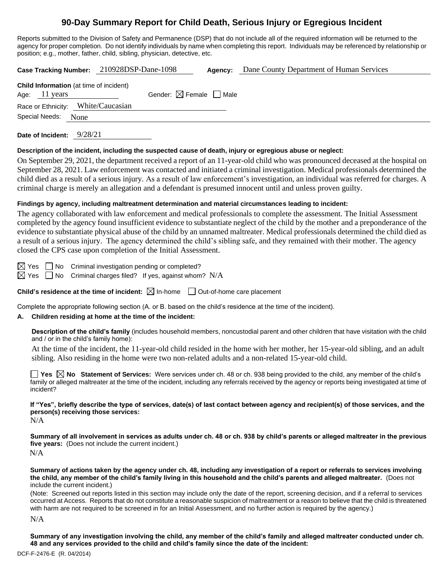# **90-Day Summary Report for Child Death, Serious Injury or Egregious Incident**

Reports submitted to the Division of Safety and Permanence (DSP) that do not include all of the required information will be returned to the agency for proper completion. Do not identify individuals by name when completing this report. Individuals may be referenced by relationship or position; e.g., mother, father, child, sibling, physician, detective, etc.

|                                                                           | Case Tracking Number: 210928DSP-Dane-1098 | Agency: | Dane County Department of Human Services |
|---------------------------------------------------------------------------|-------------------------------------------|---------|------------------------------------------|
| <b>Child Information</b> (at time of incident)<br>Age: $11 \text{ years}$ | Gender: $\boxtimes$ Female $\Box$ Male    |         |                                          |
| Race or Ethnicity: White/Caucasian                                        |                                           |         |                                          |
| Special Needs: None                                                       |                                           |         |                                          |
|                                                                           |                                           |         |                                          |

**Date of Incident:** 9/28/21

#### **Description of the incident, including the suspected cause of death, injury or egregious abuse or neglect:**

On September 29, 2021, the department received a report of an 11-year-old child who was pronounced deceased at the hospital on September 28, 2021. Law enforcement was contacted and initiated a criminal investigation. Medical professionals determined the child died as a result of a serious injury. As a result of law enforcement's investigation, an individual was referred for charges. A criminal charge is merely an allegation and a defendant is presumed innocent until and unless proven guilty.

#### **Findings by agency, including maltreatment determination and material circumstances leading to incident:**

The agency collaborated with law enforcement and medical professionals to complete the assessment. The Initial Assessment completed by the agency found insufficient evidence to substantiate neglect of the child by the mother and a preponderance of the evidence to substantiate physical abuse of the child by an unnamed maltreater. Medical professionals determined the child died as a result of a serious injury. The agency determined the child's sibling safe, and they remained with their mother. The agency closed the CPS case upon completion of the Initial Assessment.

 $\boxtimes$  Yes  $\Box$  No Criminal investigation pending or completed?

 $\boxtimes$  Yes  $\Box$  No Criminal charges filed? If yes, against whom? N/A

**Child's residence at the time of incident:**  $\boxtimes$  In-home  $\Box$  Out-of-home care placement

Complete the appropriate following section (A. or B. based on the child's residence at the time of the incident).

#### **A. Children residing at home at the time of the incident:**

**Description of the child's family** (includes household members, noncustodial parent and other children that have visitation with the child and / or in the child's family home):

At the time of the incident, the 11-year-old child resided in the home with her mother, her 15-year-old sibling, and an adult sibling. Also residing in the home were two non-related adults and a non-related 15-year-old child.

**Yes No Statement of Services:** Were services under ch. 48 or ch. 938 being provided to the child, any member of the child's family or alleged maltreater at the time of the incident, including any referrals received by the agency or reports being investigated at time of incident?

**If "Yes", briefly describe the type of services, date(s) of last contact between agency and recipient(s) of those services, and the person(s) receiving those services:**  $N/A$ 

**Summary of all involvement in services as adults under ch. 48 or ch. 938 by child's parents or alleged maltreater in the previous five years:** (Does not include the current incident.) N/A

**Summary of actions taken by the agency under ch. 48, including any investigation of a report or referrals to services involving the child, any member of the child's family living in this household and the child's parents and alleged maltreater.** (Does not include the current incident.)

(Note: Screened out reports listed in this section may include only the date of the report, screening decision, and if a referral to services occurred at Access. Reports that do not constitute a reasonable suspicion of maltreatment or a reason to believe that the child is threatened with harm are not required to be screened in for an Initial Assessment, and no further action is required by the agency.)

N/A

**Summary of any investigation involving the child, any member of the child's family and alleged maltreater conducted under ch. 48 and any services provided to the child and child's family since the date of the incident:**